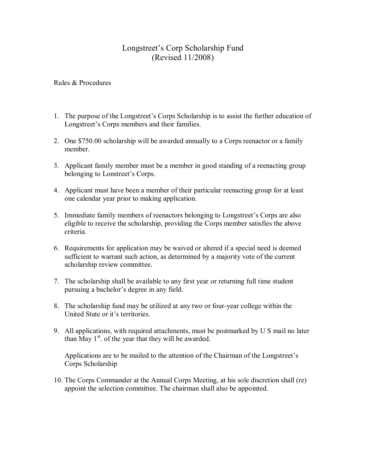## Longstreet's Corp Scholarship Fund (Revised 11/2008)

Rules & Procedures

- 1. The purpose of the Longstreet's Corps Scholarship is to assist the further education of Longstreet's Corps members and their families.
- 2. One \$750.00 scholarship will be awarded annually to a Corps reenactor or a family member.
- 3. Applicant family member must be a member in good standing of a reenacting group belonging to Lonstreet's Corps.
- 4. Applicant must have been a member of their particular reenacting group for at least one calendar year prior to making application.
- 5. Immediate family members of reenactors belonging to Longstreet's Corps are also eligible to receive the scholarship, providing the Corps member satisfies the above criteria.
- 6. Requirements for application may be waived or altered if a special need is deemed sufficient to warrant such action, as determined by a majority vote of the current scholarship review committee.
- 7. The scholarship shall be available to any first year or returning full time student pursuing a bachelor's degree in any field.
- 8. The scholarship fund may be utilized at any two or four-year college within the United State or it's territories.
- 9. All applications, with required attachments, must be postmarked by U S mail no later than May  $1<sup>st</sup>$ . of the year that they will be awarded.

Applications are to be mailed to the attention of the Chairman of the Longstreet's Corps Scholarship

10. The Corps Commander at the Annual Corps Meeting, at his sole discretion shall (re) appoint the selection committee. The chairman shall also be appointed.